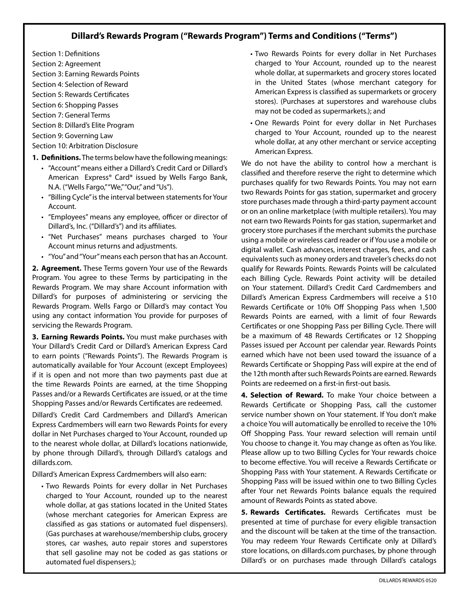## **Dillard's Rewards Program ("Rewards Program") Terms and Conditions ("Terms")**

- Section 1: Definitions Section 2: Agreement Section 3: Earning Rewards Points
- Section 4: Selection of Reward Section 5: Rewards Certificates
- [Section 6: Shopping Passes](#page-1-0)
- [Section 7: General Terms](#page-1-0)
- [Section 8: Dillard's Elite Program](#page-1-0)
- [Section 9: Governing Law](#page-1-0)

[Section 10: Arbitration Disclosure](#page-1-0) 

- **1. Definitions.** The terms below have the following meanings:
	- "Account" means either a Dillard's Credit Card or Dillard's American Express® Car[d\\*](#page-1-0) issued by Wells Fargo Bank, N.A. ("Wells Fargo,""We,""Our," and "Us").
	- "Billing Cycle" is the interval between statements for Your Account.
	- "Employees" means any employee, officer or director of Dillard's, Inc. ("Dillard's") and its affiliates.
	- "Net Purchases" means purchases charged to Your Account minus returns and adjustments.
	- "You" and "Your" means each person that has an Account.

**2. Agreement.** These Terms govern Your use of the Rewards Program. You agree to these Terms by participating in the Rewards Program. We may share Account information with Dillard's for purposes of administering or servicing the Rewards Program. Wells Fargo or Dillard's may contact You using any contact information You provide for purposes of servicing the Rewards Program.

**3. Earning Rewards Points.** You must make purchases with Your Dillard's Credit Card or Dillard's American Express Card to earn points ("Rewards Points"). The Rewards Program is automatically available for Your Account (except Employees) if it is open and not more than two payments past due at the time Rewards Points are earned, at the time Shopping Passes and/or a Rewards Certificates are issued, or at the time Shopping Passes and/or Rewards Certificates are redeemed.

Dillard's Credit Card Cardmembers and Dillard's American Express Cardmembers will earn two Rewards Points for every dollar in Net Purchases charged to Your Account, rounded up to the nearest whole dollar, at Dillard's locations nationwide, by phone through Dillard's, through Dillard's catalogs and [dillards.com](http://www.dillards.com).

Dillard's American Express Cardmembers will also earn:

• Two Rewards Points for every dollar in Net Purchases charged to Your Account, rounded up to the nearest whole dollar, at gas stations located in the United States (whose merchant categories for American Express are classified as gas stations or automated fuel dispensers). (Gas purchases at warehouse/membership clubs, grocery stores, car washes, auto repair stores and superstores that sell gasoline may not be coded as gas stations or automated fuel dispensers.);

- Two Rewards Points for every dollar in Net Purchases charged to Your Account, rounded up to the nearest whole dollar, at supermarkets and grocery stores located in the United States (whose merchant category for American Express is classified as supermarkets or grocery stores). (Purchases at superstores and warehouse clubs may not be coded as supermarkets.); and
- One Rewards Point for every dollar in Net Purchases charged to Your Account, rounded up to the nearest whole dollar, at any other merchant or service accepting American Express.

We do not have the ability to control how a merchant is classified and therefore reserve the right to determine which purchases qualify for two Rewards Points. You may not earn two Rewards Points for gas station, supermarket and grocery store purchases made through a third-party payment account or on an online marketplace (with multiple retailers). You may not earn two Rewards Points for gas station, supermarket and grocery store purchases if the merchant submits the purchase using a mobile or wireless card reader or if You use a mobile or digital wallet. Cash advances, interest charges, fees, and cash equivalents such as money orders and traveler's checks do not qualify for Rewards Points. Rewards Points will be calculated each Billing Cycle. Rewards Point activity will be detailed on Your statement. Dillard's Credit Card Cardmembers and Dillard's American Express Cardmembers will receive a \$10 Rewards Certificate or 10% Off Shopping Pass when 1,500 Rewards Points are earned, with a limit of four Rewards Certificates or one Shopping Pass per Billing Cycle. There will be a maximum of 48 Rewards Certificates or 12 Shopping Passes issued per Account per calendar year. Rewards Points earned which have not been used toward the issuance of a Rewards Certificate or Shopping Pass will expire at the end of the 12th month after such Rewards Points are earned. Rewards Points are redeemed on a first-in first-out basis.

**4. Selection of Reward.** To make Your choice between a Rewards Certificate or Shopping Pass, call the customer service number shown on Your statement. If You don't make a choice You will automatically be enrolled to receive the 10% Off Shopping Pass. Your reward selection will remain until You choose to change it. You may change as often as You like. Please allow up to two Billing Cycles for Your rewards choice to become effective. You will receive a Rewards Certificate or Shopping Pass with Your statement. A Rewards Certificate or Shopping Pass will be issued within one to two Billing Cycles after Your net Rewards Points balance equals the required amount of Rewards Points as stated above.

**5. Rewards Certificates.** Rewards Certificates must be presented at time of purchase for every eligible transaction and the discount will be taken at the time of the transaction. You may redeem Your Rewards Certificate only at Dillard's store locations, on dillards.com purchases, by phone through Dillard's or on purchases made through Dillard's catalogs